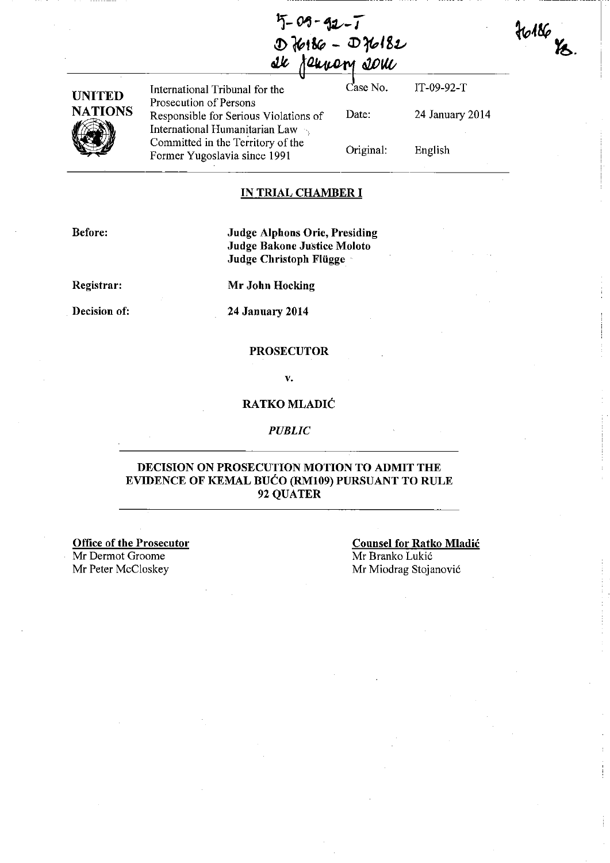$5 - 09 - 92 - 1$  $D$  $16186 - D16182$ ale *ferrory* som

Date:

Original:

| UNITED  |
|---------|
| NATIONS |
|         |

International Tribunal for the Case No. Prosecution of Persons Responsible for Serious Violations of International Humanitarian Law ) Committed in the Territory of the Former Yugoslavia since 1991

IT-09-92-T 24 January 2014  $36186$   $\%$ .

English

## **IN TRIAL CHAMBER I**

**Before:** 

**Judge Alphons Orie, Presiding Judge Bakoue Justice Moloto Judge Christoph Flligge** 

**Registrar:** 

**Mr John Hocking** 

**Decision of:** 

**24 January 2014** 

#### **PROSECUTOR**

v.

## **RATKO MLADIC**

#### *PUBLIC*

## **DECISION ON PROSECUTION MOTION TO ADMIT THE EVIDENCE OF KEMAL BUCO (RMI09) PURSUANT TO RULE**  92 QUATER

**Office of the Prosecutor**  Mr Dermot Groome Mr Peter McCloskey

**Counsel for Ratko Mladic**  Mr Branko Lukić Mr Miodrag Stojanovic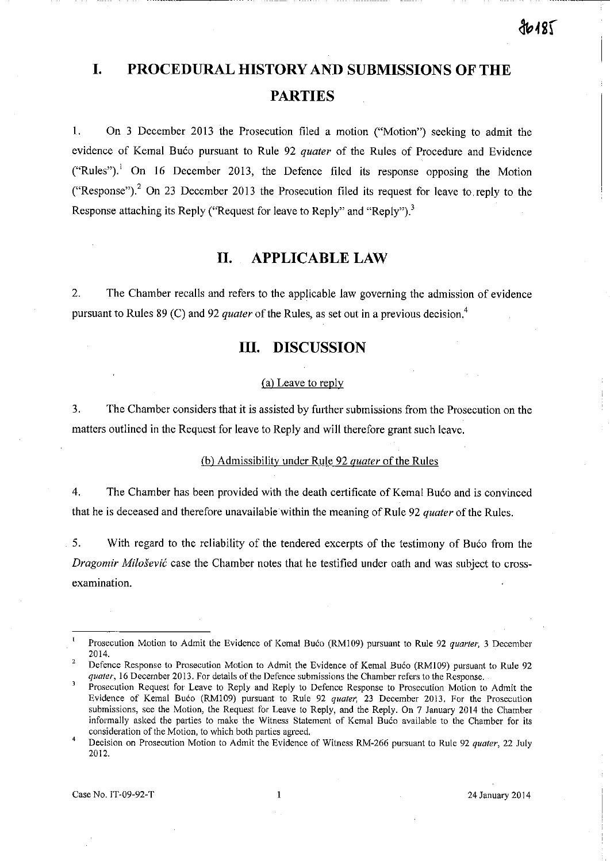# **I. PROCEDURAL HISTORY AND SUBMISSIONS OF THE PARTIES**

I. On 3 December 2013 the Prosecution filed a motion ("Motion") seeking to admit the evidence of Kemal Bućo pursuant to Rule 92 *quater* of the Rules of Procedure and Evidence ("Rules"). $\frac{1}{1}$  On 16 December 2013, the Defence filed its response opposing the Motion ("Response").<sup>2</sup> On 23 December 2013 the Prosecution filed its request for leave to reply to the Response attaching its Reply ("Request for leave to Reply" and "Reply").<sup>3</sup>

# **II. APPLICABLE LAW**

2. The Chamber recalls and refers to the applicable law governing the admission of evidence pursuant to Rules 89 (C) and 92 *quater* of the Rules, as set out in a previous decision.<sup>4</sup>

# **III. DISCUSSION**

### (a) Leave to reply

3. The Chamber considers that it is assisted by further submissions from the Prosecution on the matters outlined in the Request for leave to Reply and will therefore grant such leave.

### (b) Admissibility under Rule 92 *quater* of the Rules

4. The Chamber has been provided with the death certificate of Kemal Buco and is convinced that he is deceased and therefore unavailable within the meaning of Rule 92 *quater* of the Rules.

5. With regard to the reliability of the tendered excerpts of the testimony of Buco from the *Dragomir Milosevic* case the Chamber notes that he testified under oath and was subject to crossexamination.

Case No. IT-09-92-T 24 January 2014

Prosecution Motion to Admit the Evidence of Kemal Buco (RM109) pursuant to Rule 92 *quarter*, 3 December 2014.

Defence Response to Prosecution Motion to Admit the Evidence of Kemal Bućo (RM109) pursuant to Rule 92 *quater,* **16 December 2013. For details of the Defence submissions the Chamber refers to the Response.** 

**Prosecution Request for Leave to Reply and Reply to Defence Response to Prosecution Motion to Admit the**  Evidence of Kemal Bućo (RM109) pursuant to Rule 92 *quater*, 23 December 2013. For the Prosecution **submissions, see the Motion, the Request for Leave to Reply, and the Reply. On 7 January 2014 the Chamber**  informally asked the parties to make the Witness Statement of Kemal Bućo available to the Chamber for its **consideration of the Motion, to which both parties agreed.** 

 $\overline{4}$ **Decision on Prosecution Motion to Admit the Evidence of Witness RM-266 pursuant to Rule 92** *quater,* **22 July**  2012.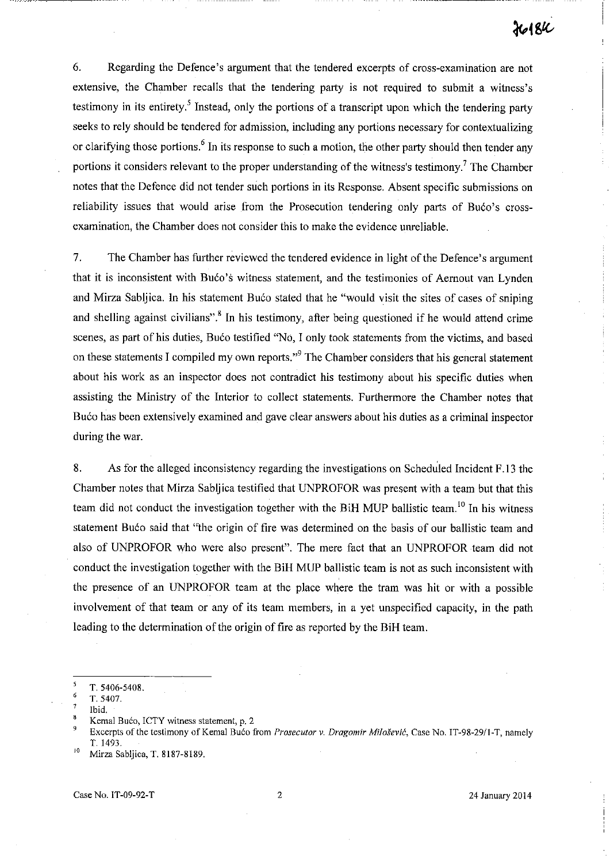-- -------~--~----

6. Regarding the Defence's argument that the tendered excerpts of cross-examination are not extensive, the Chamber recalls that the tendering party is not required to submit a witness's testimony in its entirety.<sup>5</sup> Instead, only the portions of a transcript upon which the tendering party seeks to rely should be tendered for admission, including any portions necessary for contextualizing or clarifying those portions.<sup>6</sup> In its response to such a motion, the other party should then tender any portions it considers relevant to the proper understanding of the witness's testimony.<sup>7</sup> The Chamber notes that the Defence did not tender such portions in its Response. Absent specific submissions on reliability issues that would arise from the Prosecution tendering only parts of Bućo's crossexamination, the Chamber does not consider this to make the evidence unreliable.

7. The Chamber has further reviewed the tendered evidence in light of the Defence's argument that it is inconsistent with Bućo's witness statement, and the testimonies of Aernout van Lynden and Mirza Sabljica. In his statement Buco stated that he "would visit the sites of cases of sniping and shelling against civilians".<sup>8</sup> In his testimony, after being questioned if he would attend crime scenes, as part of his duties, Buco testified "No, I only took statements from the victims, and based on these statements I compiled my own reports."<sup>9</sup> The Chamber considers that his general statement about his work as an inspector does not contradict his testimony about his specific duties when assisting the Ministry of the Interior to collect statements. Furthermore the Chamber notes that Buco has been extensively examined and gave clear answers about his duties as a criminal inspector during the war.

8. As for the alleged inconsistency regarding the investigations on Scheduled Incident F .13 the Chamber notes that Mirza Sabljica testified that UNPROFOR was present with a team but that this team did not conduct the investigation together with the BiH MUP ballistic team.<sup>10</sup> In his witness statement Bućo said that "the origin of fire was determined on the basis of our ballistic team and also of UNPROFOR who were also present". The mere fact that an UNPROFOR team did not conduct the investigation together with the BiH MUP ballistic team is not as such inconsistent with the presence of an UNPROFOR team at the place where the tram was hit or with a possible involvement of that team or any of its team members, in a yet unspecified capacity, in the path leading to the determination of the origin of fire as reported by the BiH team.

**S** T. 5406-5408.

<sup>6</sup> T.5407.

Ibid.

Kemal Bućo, ICTY witness statement, p. 2

Excerpts of the testimony of Kemal Bućo from *Prosecutor v. Dragomir Milošević*, Case No. IT-98-29/1-T, namely T. 1493.

Mirza Sabljica, T. 8187-8189.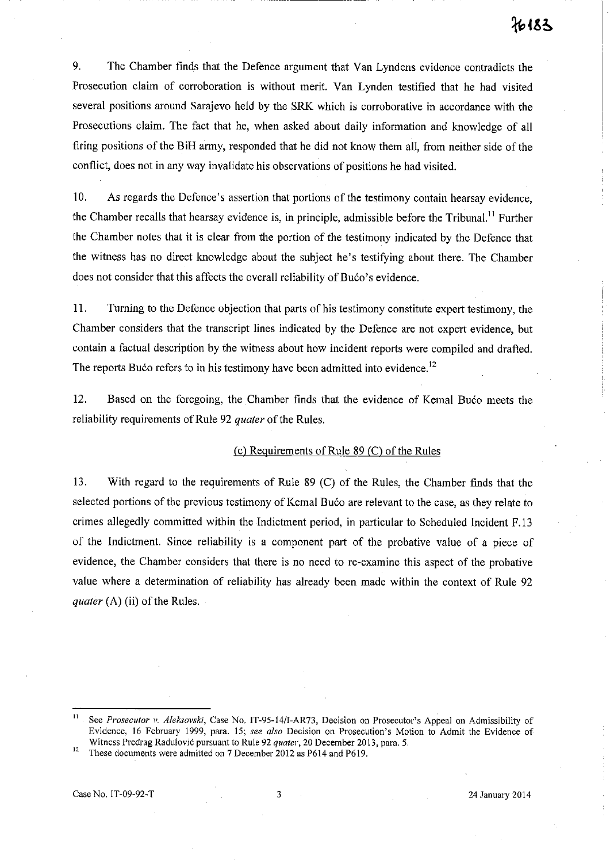9. The Chamber finds that the Defence argument that Van Lyndens evidence contradicts the Prosecution claim of corroboration is without merit. Van Lynden testified that he had visited several positions around Sarajevo held by the SRK which is corroborative in accordance with the Prosecutions claim. The fact that he, when asked about daily information and knowledge of all firing positions of the BiH army, responded that he did not know them all, from neither side of the conflict, does not in any way invalidate his observations of positions he had visited.

10. As regards the Defence's assertion that portions of the testimony contain hearsay evidence, the Chamber recalls that hearsay evidence is, in principle, admissible before the Tribunal." Further the Chamber notes that it is clear from the portion of the testimony indicated by the Defence that the witness has no direct knowledge about the subject he's testifying about there. The Chamber does not consider that this affects the overall reliability of Buco's evidence.

II. Turning to the Defence objection that parts of his testimony constitute expert testimony, the Chamber considers that the transcript lines indicated by the Defence are not expert evidence, but contain a factual description by the witness about how incident reports were compiled and drafted. The reports Buco refers to in his testimony have been admitted into evidence.<sup>12</sup>

12. Based on the foregoing, the Chamber finds that the evidence of Kemal Buco meets the reliability requirements of Rule 92 *quater* of the Rules.

## (c) Requirements of Rule  $89$  (C) of the Rules

13. With regard to the requirements of Rule 89 (C) of the Rules, the Chamber fmds that the selected portions of the previous testimony of Kemal Buco are relevant to the case, as they relate to crimes allegedly committed within the Indictment period, in particular to Scheduled Incident F.13 of the Indictment. Since reliability is a component part of the probative value of a piece of evidence, the Chamber considers that there is no need to re-examine this aspect of the probative value where a determination of reliability has already been made within the context of Rule 92 *quater* (A) (ii) of the Rules.

**<sup>11</sup> See** *Prosecutor v. Aleksovski,* **Case No.** *IT-95-14/I-AR73,* **Decision on Prosecutor's Appeal on Admissibility of Evidence, 16 February 1999, para. 15;** *see also* **Decision on Prosecution's Motion to Admit the Evidence of Witness Predrag Radulovic pursuant to Rule 92** *quater,* **20 December 2013, para. 5.** 

<sup>&</sup>lt;sup>12</sup> These documents were admitted on 7 December 2012 as P614 and P619.